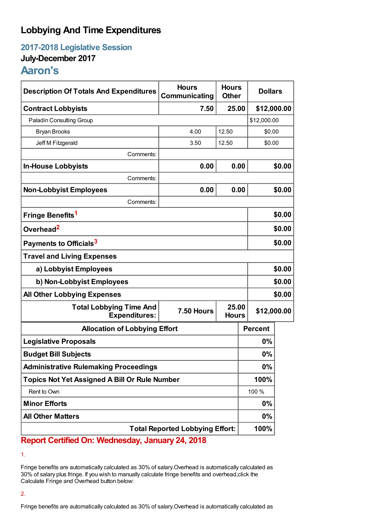# **Lobbying And Time Expenditures**

**2017-2018 Legislative Session**

## **July-December 2017**

# **Aaron's**

| <b>Description Of Totals And Expenditures</b>          | <b>Hours</b><br>Communicating | <b>Hours</b><br><b>Other</b> | <b>Dollars</b> |             |  |
|--------------------------------------------------------|-------------------------------|------------------------------|----------------|-------------|--|
| <b>Contract Lobbyists</b>                              | 7.50                          | 25.00                        | \$12,000.00    |             |  |
| Paladin Consulting Group                               |                               |                              |                | \$12,000.00 |  |
| <b>Bryan Brooks</b>                                    | 4.00                          | 12.50                        | \$0.00         |             |  |
| Jeff M Fitzgerald                                      | 3.50                          | 12.50                        | \$0.00         |             |  |
| Comments:                                              |                               |                              |                |             |  |
| <b>In-House Lobbyists</b>                              | 0.00                          | 0.00                         |                | \$0.00      |  |
| Comments:                                              |                               |                              |                |             |  |
| <b>Non-Lobbyist Employees</b>                          | 0.00                          | 0.00                         |                | \$0.00      |  |
| Comments:                                              |                               |                              |                |             |  |
| Fringe Benefits <sup>1</sup>                           |                               |                              |                | \$0.00      |  |
| Overhead <sup>2</sup>                                  |                               |                              |                | \$0.00      |  |
| Payments to Officials <sup>3</sup>                     |                               |                              |                | \$0.00      |  |
| <b>Travel and Living Expenses</b>                      |                               |                              |                |             |  |
| a) Lobbyist Employees                                  |                               |                              |                | \$0.00      |  |
| b) Non-Lobbyist Employees                              |                               |                              |                | \$0.00      |  |
| <b>All Other Lobbying Expenses</b>                     |                               |                              |                | \$0.00      |  |
| <b>Total Lobbying Time And</b><br><b>Expenditures:</b> | 7.50 Hours                    | 25.00<br><b>Hours</b>        | \$12,000.00    |             |  |
| <b>Allocation of Lobbying Effort</b>                   |                               |                              | <b>Percent</b> |             |  |
| <b>Legislative Proposals</b>                           |                               |                              | 0%             |             |  |
| <b>Budget Bill Subjects</b>                            |                               |                              | 0%             |             |  |
| <b>Administrative Rulemaking Proceedings</b>           |                               |                              | 0%             |             |  |
| <b>Topics Not Yet Assigned A Bill Or Rule Number</b>   |                               |                              | 100%           |             |  |
| Rent to Own                                            |                               |                              | 100 %          |             |  |
| <b>Minor Efforts</b>                                   |                               |                              | 0%             |             |  |
| <b>All Other Matters</b>                               |                               |                              | 0%             |             |  |
| <b>Total Reported Lobbying Effort:</b>                 |                               |                              | 100%           |             |  |

**Report Certified On: Wednesday, January 24, 2018**

1.

Fringe benefits are automatically calculated as 30% of salary.Overhead is automatically calculated as 30% of salary plus fringe. If you wish to manually calculate fringe benefits and overhead,click the Calculate Fringe and Overhead button below:

### 2.

Fringe benefits are automatically calculated as 30% of salary.Overhead is automatically calculated as